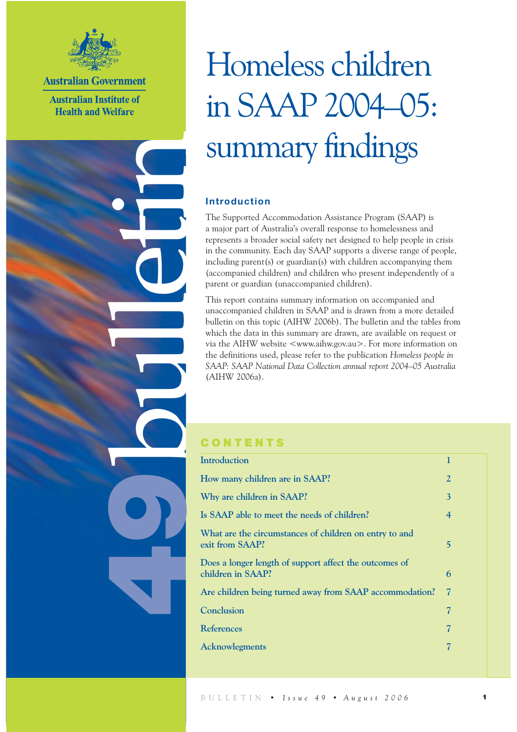

**Australian Government** 

**Australian Institute of Health and Welfare** 

bulletin

9

# Homeless children in SAAP 2004–05: summary findings

# **Introduction**

The Supported Accommodation Assistance Program (SAAP) is a major part of Australia's overall response to homelessness and represents a broader social safety net designed to help people in crisis in the community. Each day SAAP supports a diverse range of people, including parent(s) or guardian(s) with children accompanying them (accompanied children) and children who present independently of a parent or guardian (unaccompanied children).

This report contains summary information on accompanied and unaccompanied children in SAAP and is drawn from a more detailed bulletin on this topic (AIHW 2006b). The bulletin and the tables from which the data in this summary are drawn, are available on request or via the AIHW website <www.aihw.gov.au>. For more information on the definitions used, please refer to the publication *Homeless people in SAAP: SAAP National Data Collection annual report 2004–05 Australia* (AIHW 2006a).

# **CONTENTS**

| $\overline{2}$ |
|----------------|
| 3              |
| $\overline{4}$ |
| 5              |
| 6              |
| 7              |
| 7              |
| 7              |
|                |
|                |

1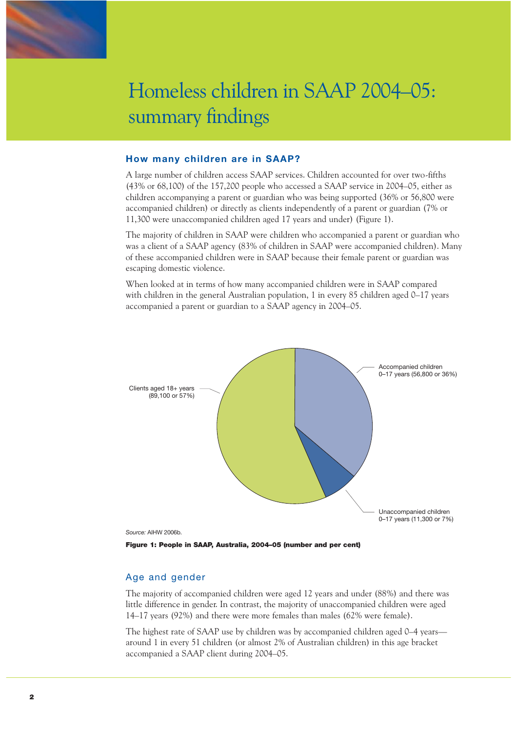

# Homeless children in SAAP 2004–05: summary findings

#### **How many children are in SAAP?**

A large number of children access SAAP services. Children accounted for over two-fifths (43% or 68,100) of the 157,200 people who accessed a SAAP service in 2004–05, either as children accompanying a parent or guardian who was being supported (36% or 56,800 were accompanied children) or directly as clients independently of a parent or guardian (7% or 11,300 were unaccompanied children aged 17 years and under) (Figure 1).

The majority of children in SAAP were children who accompanied a parent or guardian who was a client of a SAAP agency (83% of children in SAAP were accompanied children). Many of these accompanied children were in SAAP because their female parent or guardian was escaping domestic violence.

When looked at in terms of how many accompanied children were in SAAP compared with children in the general Australian population, 1 in every 85 children aged 0–17 years accompanied a parent or guardian to a SAAP agency in 2004–05.



Figure 1: People in SAAP, Australia, 2004–05 (number and per cent)

#### Age and gender

The majority of accompanied children were aged 12 years and under (88%) and there was little difference in gender. In contrast, the majority of unaccompanied children were aged 14–17 years (92%) and there were more females than males (62% were female).

The highest rate of SAAP use by children was by accompanied children aged 0–4 years around 1 in every 51 children (or almost 2% of Australian children) in this age bracket accompanied a SAAP client during 2004–05.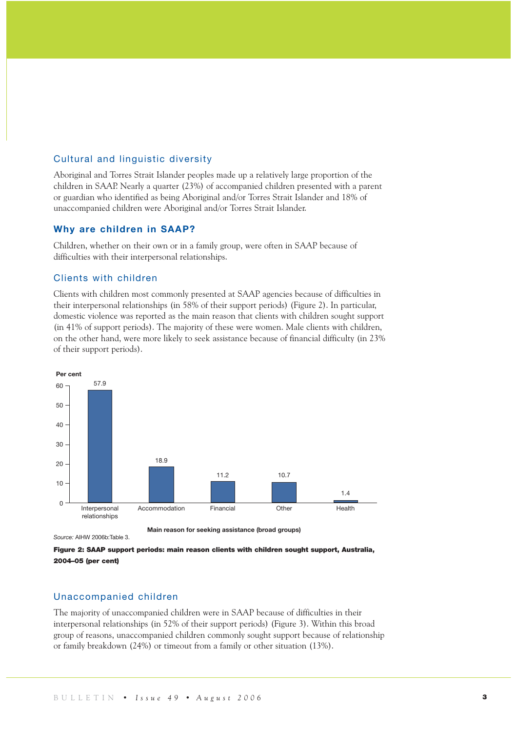#### Cultural and linguistic diversity

Aboriginal and Torres Strait Islander peoples made up a relatively large proportion of the children in SAAP. Nearly a quarter (23%) of accompanied children presented with a parent or guardian who identified as being Aboriginal and/or Torres Strait Islander and 18% of unaccompanied children were Aboriginal and/or Torres Strait Islander.

#### **Why are children in SAAP?**

Children, whether on their own or in a family group, were often in SAAP because of difficulties with their interpersonal relationships.

#### Clients with children

Clients with children most commonly presented at SAAP agencies because of difficulties in their interpersonal relationships (in 58% of their support periods) (Figure 2). In particular, domestic violence was reported as the main reason that clients with children sought support (in 41% of support periods). The majority of these were women. Male clients with children, on the other hand, were more likely to seek assistance because of financial difficulty (in 23% of their support periods).



*Source:* AIHW 2006b:Table 3.

**Main reason for seeking assistance (broad groups)**



#### Unaccompanied children

The majority of unaccompanied children were in SAAP because of difficulties in their interpersonal relationships (in 52% of their support periods) (Figure 3). Within this broad group of reasons, unaccompanied children commonly sought support because of relationship or family breakdown (24%) or timeout from a family or other situation (13%).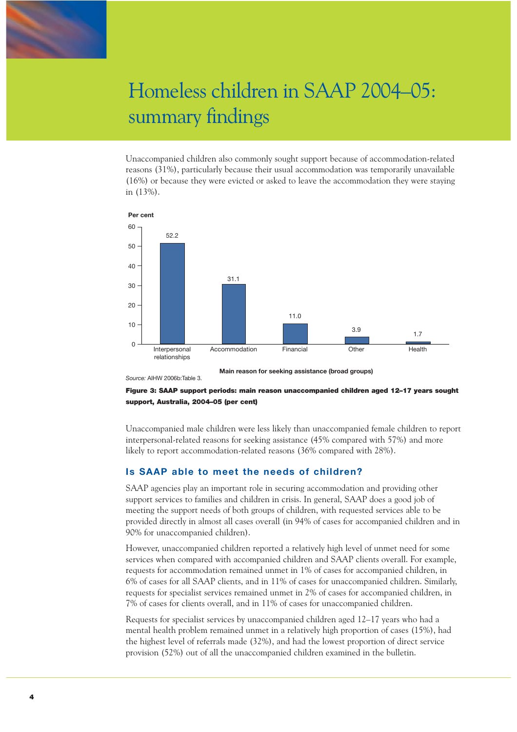

# Homeless children in SAAP 2004–05: summary findings

Unaccompanied children also commonly sought support because of accommodation-related reasons (31%), particularly because their usual accommodation was temporarily unavailable (16%) or because they were evicted or asked to leave the accommodation they were staying in (13%).



**Main reason for seeking assistance (broad groups)**

Figure 3: SAAP support periods: main reason unaccompanied children aged 12–17 years sought support, Australia, 2004–05 (per cent)

Unaccompanied male children were less likely than unaccompanied female children to report interpersonal-related reasons for seeking assistance (45% compared with 57%) and more likely to report accommodation-related reasons (36% compared with 28%).

### **Is SAAP able to meet the needs of children?**

*Source:* AIHW 2006b:Table 3.

SAAP agencies play an important role in securing accommodation and providing other support services to families and children in crisis. In general, SAAP does a good job of meeting the support needs of both groups of children, with requested services able to be provided directly in almost all cases overall (in 94% of cases for accompanied children and in 90% for unaccompanied children).

However, unaccompanied children reported a relatively high level of unmet need for some services when compared with accompanied children and SAAP clients overall. For example, requests for accommodation remained unmet in 1% of cases for accompanied children, in 6% of cases for all SAAP clients, and in 11% of cases for unaccompanied children. Similarly, requests for specialist services remained unmet in 2% of cases for accompanied children, in 7% of cases for clients overall, and in 11% of cases for unaccompanied children.

Requests for specialist services by unaccompanied children aged 12–17 years who had a mental health problem remained unmet in a relatively high proportion of cases (15%), had the highest level of referrals made (32%), and had the lowest proportion of direct service provision (52%) out of all the unaccompanied children examined in the bulletin.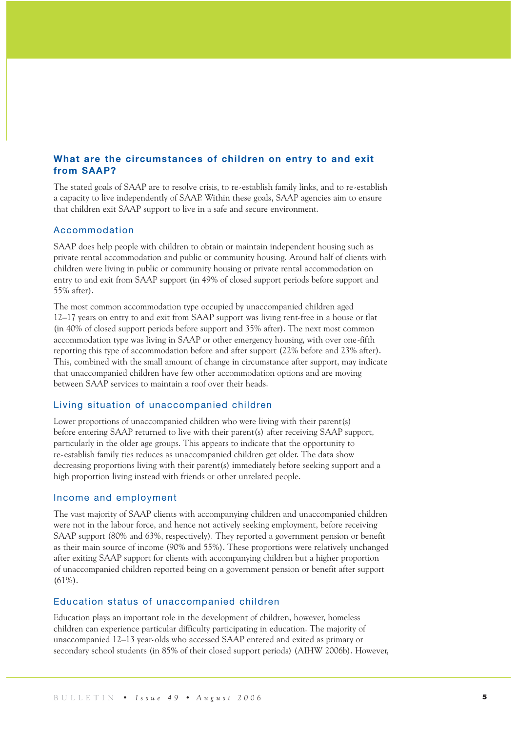## **What are the circumstances of children on entry to and exit from SAAP?**

The stated goals of SAAP are to resolve crisis, to re-establish family links, and to re-establish a capacity to live independently of SAAP. Within these goals, SAAP agencies aim to ensure that children exit SAAP support to live in a safe and secure environment.

#### Accommodation

SAAP does help people with children to obtain or maintain independent housing such as private rental accommodation and public or community housing. Around half of clients with children were living in public or community housing or private rental accommodation on entry to and exit from SAAP support (in 49% of closed support periods before support and 55% after).

The most common accommodation type occupied by unaccompanied children aged 12–17 years on entry to and exit from SAAP support was living rent-free in a house or flat (in 40% of closed support periods before support and 35% after). The next most common accommodation type was living in SAAP or other emergency housing, with over one-fifth reporting this type of accommodation before and after support (22% before and 23% after). This, combined with the small amount of change in circumstance after support, may indicate that unaccompanied children have few other accommodation options and are moving between SAAP services to maintain a roof over their heads.

#### Living situation of unaccompanied children

Lower proportions of unaccompanied children who were living with their parent(s) before entering SAAP returned to live with their parent(s) after receiving SAAP support, particularly in the older age groups. This appears to indicate that the opportunity to re-establish family ties reduces as unaccompanied children get older. The data show decreasing proportions living with their parent(s) immediately before seeking support and a high proportion living instead with friends or other unrelated people.

#### Income and employment

The vast majority of SAAP clients with accompanying children and unaccompanied children were not in the labour force, and hence not actively seeking employment, before receiving SAAP support (80% and 63%, respectively). They reported a government pension or benefit as their main source of income (90% and 55%). These proportions were relatively unchanged after exiting SAAP support for clients with accompanying children but a higher proportion of unaccompanied children reported being on a government pension or benefit after support  $(61\%).$ 

#### Education status of unaccompanied children

Education plays an important role in the development of children, however, homeless children can experience particular difficulty participating in education. The majority of unaccompanied 12–13 year-olds who accessed SAAP entered and exited as primary or secondary school students (in 85% of their closed support periods) (AIHW 2006b). However,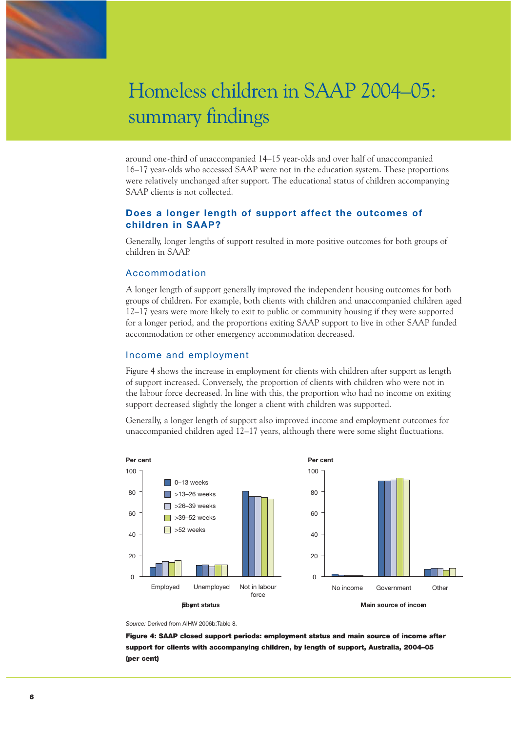

# Homeless children in SAAP 2004–05: summary findings

around one-third of unaccompanied 14–15 year-olds and over half of unaccompanied 16–17 year-olds who accessed SAAP were not in the education system. These proportions were relatively unchanged after support. The educational status of children accompanying SAAP clients is not collected.

### **Does a longer length of support affect the outcomes of children in SAAP?**

Generally, longer lengths of support resulted in more positive outcomes for both groups of children in SAAP.

#### Accommodation

A longer length of support generally improved the independent housing outcomes for both groups of children. For example, both clients with children and unaccompanied children aged 12–17 years were more likely to exit to public or community housing if they were supported for a longer period, and the proportions exiting SAAP support to live in other SAAP funded accommodation or other emergency accommodation decreased.

#### Income and employment

Figure 4 shows the increase in employment for clients with children after support as length of support increased. Conversely, the proportion of clients with children who were not in the labour force decreased. In line with this, the proportion who had no income on exiting support decreased slightly the longer a client with children was supported.

Generally, a longer length of support also improved income and employment outcomes for unaccompanied children aged 12–17 years, although there were some slight fluctuations.



*Source:* Derived from AIHW 2006b:Table 8.

Figure 4: SAAP closed support periods: employment status and main source of income after support for clients with accompanying children, by length of support, Australia, 2004–05 (per cent)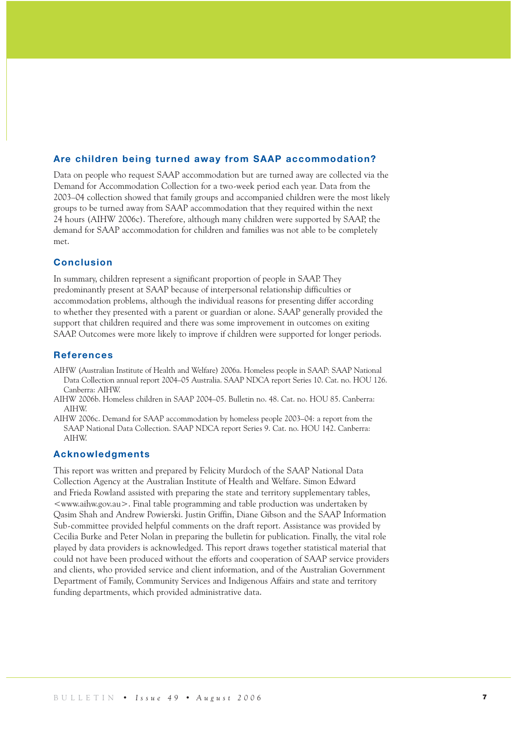#### **Are children being turned away from SAAP accommodation?**

Data on people who request SAAP accommodation but are turned away are collected via the Demand for Accommodation Collection for a two-week period each year. Data from the 2003–04 collection showed that family groups and accompanied children were the most likely groups to be turned away from SAAP accommodation that they required within the next 24 hours (AIHW 2006c). Therefore, although many children were supported by SAAP, the demand for SAAP accommodation for children and families was not able to be completely met.

#### **Conclusion**

In summary, children represent a significant proportion of people in SAAP. They predominantly present at SAAP because of interpersonal relationship difficulties or accommodation problems, although the individual reasons for presenting differ according to whether they presented with a parent or guardian or alone. SAAP generally provided the support that children required and there was some improvement in outcomes on exiting SAAP. Outcomes were more likely to improve if children were supported for longer periods.

#### **References**

- AIHW (Australian Institute of Health and Welfare) 2006a. Homeless people in SAAP: SAAP National Data Collection annual report 2004–05 Australia. SAAP NDCA report Series 10. Cat. no. HOU 126. Canberra: AIHW.
- AIHW 2006b. Homeless children in SAAP 2004–05. Bulletin no. 48. Cat. no. HOU 85. Canberra: AIHW.
- AIHW 2006c. Demand for SAAP accommodation by homeless people 2003–04: a report from the SAAP National Data Collection. SAAP NDCA report Series 9. Cat. no. HOU 142. Canberra: AIHW.

#### **Acknowledgments**

This report was written and prepared by Felicity Murdoch of the SAAP National Data Collection Agency at the Australian Institute of Health and Welfare. Simon Edward and Frieda Rowland assisted with preparing the state and territory supplementary tables, <www.aihw.gov.au>. Final table programming and table production was undertaken by Qasim Shah and Andrew Powierski. Justin Griffin, Diane Gibson and the SAAP Information Sub-committee provided helpful comments on the draft report. Assistance was provided by Cecilia Burke and Peter Nolan in preparing the bulletin for publication. Finally, the vital role played by data providers is acknowledged. This report draws together statistical material that could not have been produced without the efforts and cooperation of SAAP service providers and clients, who provided service and client information, and of the Australian Government Department of Family, Community Services and Indigenous Affairs and state and territory funding departments, which provided administrative data.